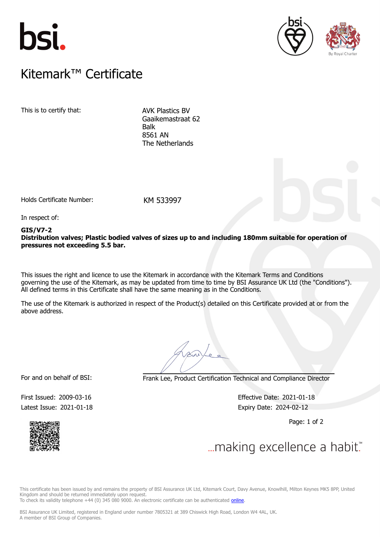





# $K$ itemark $W$  Certificate Kitemark™ Certificate

This is to certify that: AVK Plastics BV

Gaaikemastraat 62 Balk 8561 AN The Netherlands

Holds Certificate Number: KM 533997

In respect of:

#### **GIS/V7-2 Distribution valves; Plastic bodied valves of sizes up to and including 180mm suitable for operation of pressures not exceeding 5.5 bar.**

This issues the right and licence to use the Kitemark in accordance with the Kitemark Terms and Conditions governing the use of the Kitemark, as may be updated from time to time by BSI Assurance UK Ltd (the "Conditions"). All defined terms in this Certificate shall have the same meaning as in the Conditions.

The use of the Kitemark is authorized in respect of the Product(s) detailed on this Certificate provided at or from the above address.

For and on behalf of BSI: Frank Lee, Product Certification Technical and Compliance Director

Latest Issue: 2021-01-18 Expiry Date: 2024-02-12

First Issued: 2009-03-16 Effective Date: 2021-01-18

Page: 1 of 2



 $\mathcal{L}_{\mathcal{A}}$ 

This certificate has been issued by and remains the property of BSI Assurance UK Ltd, Kitemark Court, Davy Avenue, Knowlhill, Milton Keynes MK5 8PP, United Kingdom and should be returned immediately upon request. To check its validity telephone +44 (0) 345 080 9000. An electronic certificate can be authenticated *[online](https://pgplus.bsigroup.com/CertificateValidation/CertificateValidator.aspx?CertificateNumber=KM+533997&ReIssueDate=18%2f01%2f2021&Template=uk)*.

BSI Assurance UK Limited, registered in England under number 7805321 at 389 Chiswick High Road, London W4 4AL, UK. A member of BSI Group of Companies.